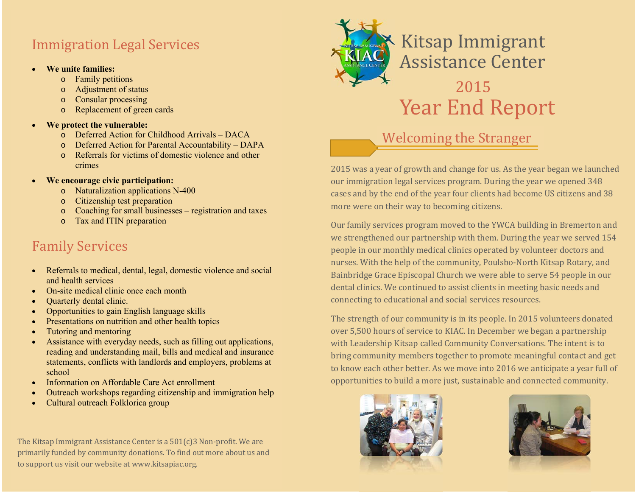### **Immigration Legal Services**

- G **We unite families:**
	- o Family petitions
	- oAdjustment of status
	- o Consular processing
	- o Replacement of green cards

#### G **We protect the vulnerable:**

- o Deferred Action for Childhood Arrivals DACA
- o Deferred Action for Parental Accountability DAPA
- o Referrals for victims of domestic violence and other crimes
- c **We encourage civic participation:** 
	- o Naturalization applications N-400
	- o Citizenship test preparation
	- o Coaching for small businesses registration and taxes
	- o Tax and ITIN preparation

### Family Services

- Referrals to medical, dental, legal, domestic violence and social and health services
- G On-site medical clinic once each month
- G Quarterly dental clinic.
- G Opportunities to gain English language skills
- $\bullet$ Presentations on nutrition and other health topics
- $\bullet$ Tutoring and mentoring
- G Assistance with everyday needs, such as filling out applications, reading and understanding mail, bills and medical and insurance statements, conflicts with landlords and employers, problems at school
- G Information on Affordable Care Act enrollment
- $\bullet$ Outreach workshops regarding citizenship and immigration help
- G Cultural outreach Folklorica group

The Kitsap Immigrant Assistance Center is a  $501(c)3$  Non-profit. We are primarily funded by community donations. To find out more about us and to support us visit our website at www.kitsapiac.org.



### Welcoming the Stranger

2015 was a year of growth and change for us. As the year began we launched our immigration legal services program. During the year we opened 348 cases and by the end of the year four clients had become US citizens and 38 more were on their way to becoming citizens.

Our family services program moved to the YWCA building in Bremerton and we strengthened our partnership with them. During the year we served 154 people in our monthly medical clinics operated by volunteer doctors and nurses. With the help of the community, Poulsbo-North Kitsap Rotary, and Bainbridge Grace Episcopal Church we were able to serve 54 people in our dental clinics. We continued to assist clients in meeting basic needs and connecting to educational and social services resources.

The strength of our community is in its people. In 2015 volunteers donated over 5,500 hours of service to KIAC. In December we began a partnership with Leadership Kitsap called Community Conversations. The intent is to bring community members together to promote meaningful contact and get to know each other better. As we move into 2016 we anticipate a year full of opportunities to build a more just, sustainable and connected community.